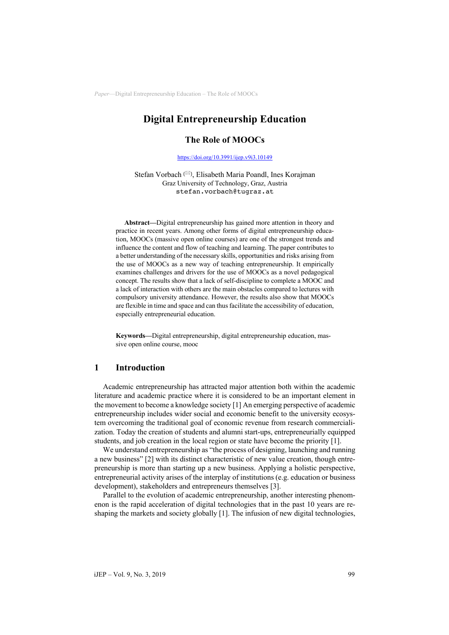# **Digital Entrepreneurship Education**

### **The Role of MOOCs**

https://doi.org/10.3991/ijep.v9i3.10149

Stefan Vorbach (\*)[, Elisabeth Maria Po](https://doi.org/10.3991/ijep.v9i3.10149)andl, Ines Korajman Graz University of Technology, Graz, Austria stefan.vorbach@tugraz.at

**Abstract—**Digital entrepreneurship has gained more attention in theory and practice in recent years. Among other forms of digital entrepreneurship education, MOOCs (massive open online courses) are one of the strongest trends and influence the content and flow of teaching and learning. The paper contributes to a better understanding of the necessary skills, opportunities and risks arising from the use of MOOCs as a new way of teaching entrepreneurship. It empirically examines challenges and drivers for the use of MOOCs as a novel pedagogical concept. The results show that a lack of self-discipline to complete a MOOC and a lack of interaction with others are the main obstacles compared to lectures with compulsory university attendance. However, the results also show that MOOCs are flexible in time and space and can thus facilitate the accessibility of education, especially entrepreneurial education.

**Keywords—**Digital entrepreneurship, digital entrepreneurship education, massive open online course, mooc

### **1 Introduction**

Academic entrepreneurship has attracted major attention both within the academic literature and academic practice where it is considered to be an important element in the movement to become a knowledge society [1] An emerging perspective of academic entrepreneurship includes wider social and economic benefit to the university ecosystem overcoming the traditional goal of economic revenue from research commercialization. Today the creation of students and alumni start-ups, entrepreneurially equipped students, and job creation in the local region or state have become the priority [1].

We understand entrepreneurship as "the process of designing, launching and running a new business" [2] with its distinct characteristic of new value creation, though entrepreneurship is more than starting up a new business. Applying a holistic perspective, entrepreneurial activity arises of the interplay of institutions (e.g. education or business development), stakeholders and entrepreneurs themselves [3].

Parallel to the evolution of academic entrepreneurship, another interesting phenomenon is the rapid acceleration of digital technologies that in the past 10 years are reshaping the markets and society globally [1]. The infusion of new digital technologies,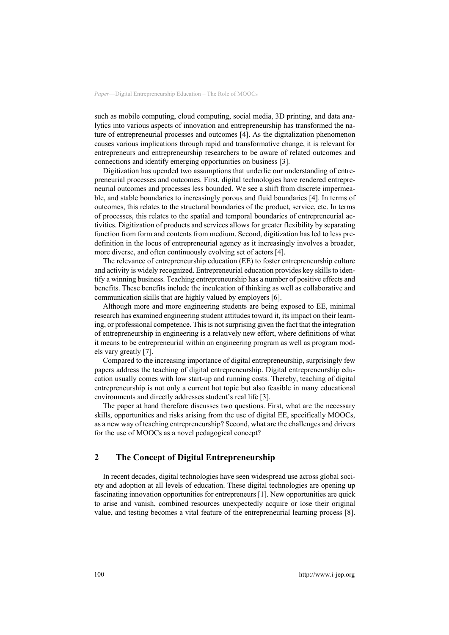such as mobile computing, cloud computing, social media, 3D printing, and data analytics into various aspects of innovation and entrepreneurship has transformed the nature of entrepreneurial processes and outcomes [4]. As the digitalization phenomenon causes various implications through rapid and transformative change, it is relevant for entrepreneurs and entrepreneurship researchers to be aware of related outcomes and connections and identify emerging opportunities on business [3].

Digitization has upended two assumptions that underlie our understanding of entrepreneurial processes and outcomes. First, digital technologies have rendered entrepreneurial outcomes and processes less bounded. We see a shift from discrete impermeable, and stable boundaries to increasingly porous and fluid boundaries [4]. In terms of outcomes, this relates to the structural boundaries of the product, service, etc. In terms of processes, this relates to the spatial and temporal boundaries of entrepreneurial activities. Digitization of products and services allows for greater flexibility by separating function from form and contents from medium. Second, digitization has led to less predefinition in the locus of entrepreneurial agency as it increasingly involves a broader, more diverse, and often continuously evolving set of actors [4].

The relevance of entrepreneurship education (EE) to foster entrepreneurship culture and activity is widely recognized. Entrepreneurial education provides key skills to identify a winning business. Teaching entrepreneurship has a number of positive effects and benefits. These benefits include the inculcation of thinking as well as collaborative and communication skills that are highly valued by employers [6].

Although more and more engineering students are being exposed to EE, minimal research has examined engineering student attitudes toward it, its impact on their learning, or professional competence. This is not surprising given the fact that the integration of entrepreneurship in engineering is a relatively new effort, where definitions of what it means to be entrepreneurial within an engineering program as well as program models vary greatly [7].

Compared to the increasing importance of digital entrepreneurship, surprisingly few papers address the teaching of digital entrepreneurship. Digital entrepreneurship education usually comes with low start-up and running costs. Thereby, teaching of digital entrepreneurship is not only a current hot topic but also feasible in many educational environments and directly addresses student's real life [3].

The paper at hand therefore discusses two questions. First, what are the necessary skills, opportunities and risks arising from the use of digital EE, specifically MOOCs, as a new way of teaching entrepreneurship? Second, what are the challenges and drivers for the use of MOOCs as a novel pedagogical concept?

## **2 The Concept of Digital Entrepreneurship**

In recent decades, digital technologies have seen widespread use across global society and adoption at all levels of education. These digital technologies are opening up fascinating innovation opportunities for entrepreneurs [1]. New opportunities are quick to arise and vanish, combined resources unexpectedly acquire or lose their original value, and testing becomes a vital feature of the entrepreneurial learning process [8].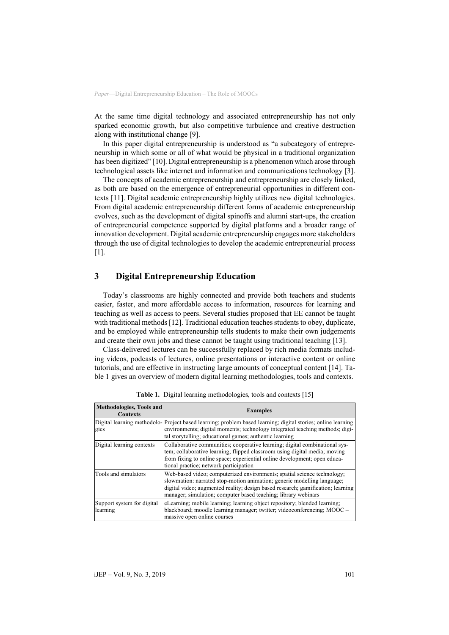At the same time digital technology and associated entrepreneurship has not only sparked economic growth, but also competitive turbulence and creative destruction along with institutional change [9].

In this paper digital entrepreneurship is understood as "a subcategory of entrepreneurship in which some or all of what would be physical in a traditional organization has been digitized" [10]. Digital entrepreneurship is a phenomenon which arose through technological assets like internet and information and communications technology [3].

The concepts of academic entrepreneurship and entrepreneurship are closely linked, as both are based on the emergence of entrepreneurial opportunities in different contexts [11]. Digital academic entrepreneurship highly utilizes new digital technologies. From digital academic entrepreneurship different forms of academic entrepreneurship evolves, such as the development of digital spinoffs and alumni start-ups, the creation of entrepreneurial competence supported by digital platforms and a broader range of innovation development. Digital academic entrepreneurship engages more stakeholders through the use of digital technologies to develop the academic entrepreneurial process [1].

# **3 Digital Entrepreneurship Education**

Today's classrooms are highly connected and provide both teachers and students easier, faster, and more affordable access to information, resources for learning and teaching as well as access to peers. Several studies proposed that EE cannot be taught with traditional methods [12]. Traditional education teaches students to obey, duplicate, and be employed while entrepreneurship tells students to make their own judgements and create their own jobs and these cannot be taught using traditional teaching [13].

Class-delivered lectures can be successfully replaced by rich media formats including videos, podcasts of lectures, online presentations or interactive content or online tutorials, and are effective in instructing large amounts of conceptual content [14]. Table 1 gives an overview of modern digital learning methodologies, tools and contexts.

| Methodologies, Tools and<br><b>Contexts</b> | <b>Examples</b>                                                                                                                                                                                                                                                                                         |
|---------------------------------------------|---------------------------------------------------------------------------------------------------------------------------------------------------------------------------------------------------------------------------------------------------------------------------------------------------------|
|                                             | Digital learning methodolo-Project based learning; problem based learning; digital stories; online learning                                                                                                                                                                                             |
| gies                                        | environments; digital moments; technology integrated teaching methods; digi-<br>tal storytelling; educational games; authentic learning                                                                                                                                                                 |
| Digital learning contexts                   | Collaborative communities; cooperative learning; digital combinational sys-<br>tem; collaborative learning; flipped classroom using digital media; moving<br>from fixing to online space; experiential online development; open educa-<br>tional practice; network participation                        |
| Tools and simulators                        | Web-based video; computerized environments; spatial science technology;<br>slowmation: narrated stop-motion animation; generic modelling language;<br>digital video; augmented reality; design based research; gamification; learning<br>manager; simulation; computer based teaching; library webinars |
| Support system for digital<br>learning      | eLearning; mobile learning; learning object repository; blended learning;<br>blackboard; moodle learning manager; twitter; videoconferencing; MOOC -<br>massive open online courses                                                                                                                     |

**Table 1.** Digital learning methodologies, tools and contexts [15]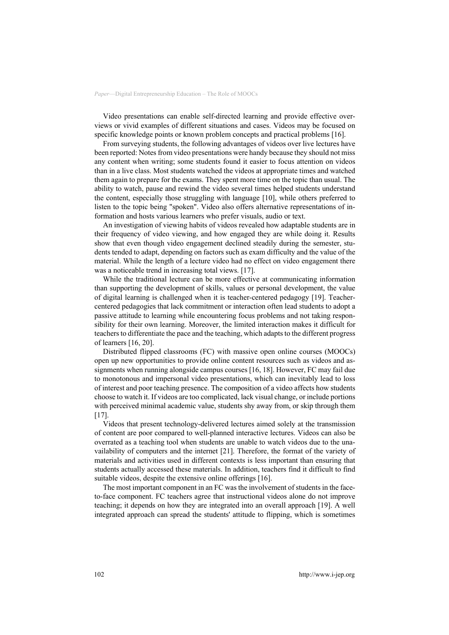Video presentations can enable self-directed learning and provide effective overviews or vivid examples of different situations and cases. Videos may be focused on specific knowledge points or known problem concepts and practical problems [16].

From surveying students, the following advantages of videos over live lectures have been reported: Notes from video presentations were handy because they should not miss any content when writing; some students found it easier to focus attention on videos than in a live class. Most students watched the videos at appropriate times and watched them again to prepare for the exams. They spent more time on the topic than usual. The ability to watch, pause and rewind the video several times helped students understand the content, especially those struggling with language [10], while others preferred to listen to the topic being "spoken". Video also offers alternative representations of information and hosts various learners who prefer visuals, audio or text.

An investigation of viewing habits of videos revealed how adaptable students are in their frequency of video viewing, and how engaged they are while doing it. Results show that even though video engagement declined steadily during the semester, students tended to adapt, depending on factors such as exam difficulty and the value of the material. While the length of a lecture video had no effect on video engagement there was a noticeable trend in increasing total views. [17].

While the traditional lecture can be more effective at communicating information than supporting the development of skills, values or personal development, the value of digital learning is challenged when it is teacher-centered pedagogy [19]. Teachercentered pedagogies that lack commitment or interaction often lead students to adopt a passive attitude to learning while encountering focus problems and not taking responsibility for their own learning. Moreover, the limited interaction makes it difficult for teachers to differentiate the pace and the teaching, which adapts to the different progress of learners [16, 20].

Distributed flipped classrooms (FC) with massive open online courses (MOOCs) open up new opportunities to provide online content resources such as videos and assignments when running alongside campus courses [16, 18]. However, FC may fail due to monotonous and impersonal video presentations, which can inevitably lead to loss of interest and poor teaching presence. The composition of a video affects how students choose to watch it. If videos are too complicated, lack visual change, or include portions with perceived minimal academic value, students shy away from, or skip through them [17].

Videos that present technology-delivered lectures aimed solely at the transmission of content are poor compared to well-planned interactive lectures. Videos can also be overrated as a teaching tool when students are unable to watch videos due to the unavailability of computers and the internet [21]. Therefore, the format of the variety of materials and activities used in different contexts is less important than ensuring that students actually accessed these materials. In addition, teachers find it difficult to find suitable videos, despite the extensive online offerings [16].

The most important component in an FC was the involvement of students in the faceto-face component. FC teachers agree that instructional videos alone do not improve teaching; it depends on how they are integrated into an overall approach [19]. A well integrated approach can spread the students' attitude to flipping, which is sometimes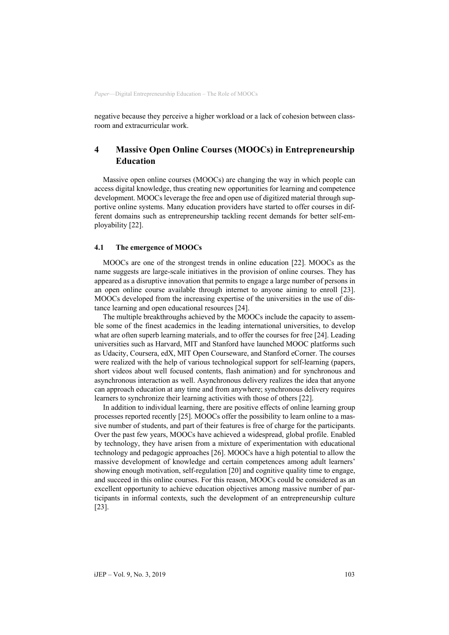negative because they perceive a higher workload or a lack of cohesion between classroom and extracurricular work.

# **4 Massive Open Online Courses (MOOCs) in Entrepreneurship Education**

Massive open online courses (MOOCs) are changing the way in which people can access digital knowledge, thus creating new opportunities for learning and competence development. MOOCs leverage the free and open use of digitized material through supportive online systems. Many education providers have started to offer courses in different domains such as entrepreneurship tackling recent demands for better self-employability [22].

#### **4.1 The emergence of MOOCs**

MOOCs are one of the strongest trends in online education [22]. MOOCs as the name suggests are large-scale initiatives in the provision of online courses. They has appeared as a disruptive innovation that permits to engage a large number of persons in an open online course available through internet to anyone aiming to enroll [23]. MOOCs developed from the increasing expertise of the universities in the use of distance learning and open educational resources [24].

The multiple breakthroughs achieved by the MOOCs include the capacity to assemble some of the finest academics in the leading international universities, to develop what are often superb learning materials, and to offer the courses for free [24]. Leading universities such as Harvard, MIT and Stanford have launched MOOC platforms such as Udacity, Coursera, edX, MIT Open Courseware, and Stanford eCorner. The courses were realized with the help of various technological support for self-learning (papers, short videos about well focused contents, flash animation) and for synchronous and asynchronous interaction as well. Asynchronous delivery realizes the idea that anyone can approach education at any time and from anywhere; synchronous delivery requires learners to synchronize their learning activities with those of others [22].

In addition to individual learning, there are positive effects of online learning group processes reported recently [25]. MOOCs offer the possibility to learn online to a massive number of students, and part of their features is free of charge for the participants. Over the past few years, MOOCs have achieved a widespread, global profile. Enabled by technology, they have arisen from a mixture of experimentation with educational technology and pedagogic approaches [26]. MOOCs have a high potential to allow the massive development of knowledge and certain competences among adult learners' showing enough motivation, self-regulation [20] and cognitive quality time to engage, and succeed in this online courses. For this reason, MOOCs could be considered as an excellent opportunity to achieve education objectives among massive number of participants in informal contexts, such the development of an entrepreneurship culture [23].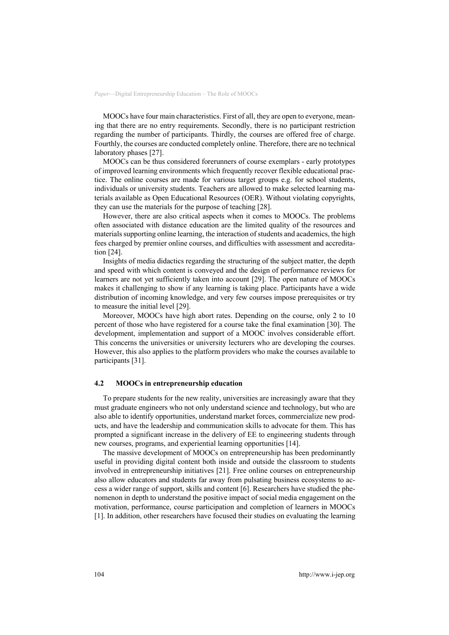MOOCs have four main characteristics. First of all, they are open to everyone, meaning that there are no entry requirements. Secondly, there is no participant restriction regarding the number of participants. Thirdly, the courses are offered free of charge. Fourthly, the courses are conducted completely online. Therefore, there are no technical laboratory phases [27].

MOOCs can be thus considered forerunners of course exemplars - early prototypes of improved learning environments which frequently recover flexible educational practice. The online courses are made for various target groups e.g. for school students, individuals or university students. Teachers are allowed to make selected learning materials available as Open Educational Resources (OER). Without violating copyrights, they can use the materials for the purpose of teaching [28].

However, there are also critical aspects when it comes to MOOCs. The problems often associated with distance education are the limited quality of the resources and materials supporting online learning, the interaction of students and academics, the high fees charged by premier online courses, and difficulties with assessment and accreditation [24].

Insights of media didactics regarding the structuring of the subject matter, the depth and speed with which content is conveyed and the design of performance reviews for learners are not yet sufficiently taken into account [29]. The open nature of MOOCs makes it challenging to show if any learning is taking place. Participants have a wide distribution of incoming knowledge, and very few courses impose prerequisites or try to measure the initial level [29].

Moreover, MOOCs have high abort rates. Depending on the course, only 2 to 10 percent of those who have registered for a course take the final examination [30]. The development, implementation and support of a MOOC involves considerable effort. This concerns the universities or university lecturers who are developing the courses. However, this also applies to the platform providers who make the courses available to participants [31].

### **4.2 MOOCs in entrepreneurship education**

To prepare students for the new reality, universities are increasingly aware that they must graduate engineers who not only understand science and technology, but who are also able to identify opportunities, understand market forces, commercialize new products, and have the leadership and communication skills to advocate for them. This has prompted a significant increase in the delivery of EE to engineering students through new courses, programs, and experiential learning opportunities [14].

The massive development of MOOCs on entrepreneurship has been predominantly useful in providing digital content both inside and outside the classroom to students involved in entrepreneurship initiatives [21]. Free online courses on entrepreneurship also allow educators and students far away from pulsating business ecosystems to access a wider range of support, skills and content [6]. Researchers have studied the phenomenon in depth to understand the positive impact of social media engagement on the motivation, performance, course participation and completion of learners in MOOCs [1]. In addition, other researchers have focused their studies on evaluating the learning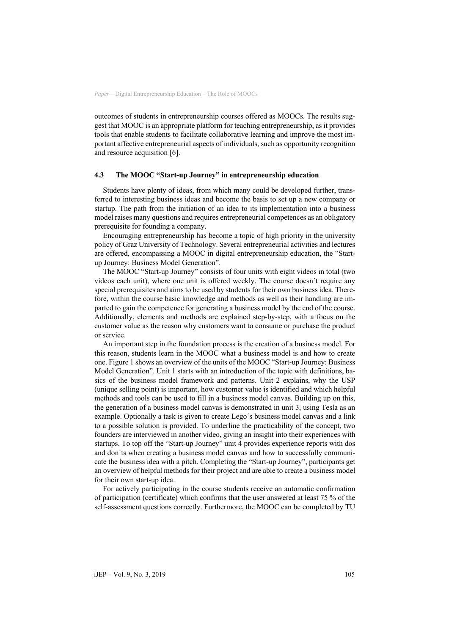outcomes of students in entrepreneurship courses offered as MOOCs. The results suggest that MOOC is an appropriate platform for teaching entrepreneurship, as it provides tools that enable students to facilitate collaborative learning and improve the most important affective entrepreneurial aspects of individuals, such as opportunity recognition and resource acquisition [6].

#### **4.3 The MOOC "Start-up Journey" in entrepreneurship education**

Students have plenty of ideas, from which many could be developed further, transferred to interesting business ideas and become the basis to set up a new company or startup. The path from the initiation of an idea to its implementation into a business model raises many questions and requires entrepreneurial competences as an obligatory prerequisite for founding a company.

Encouraging entrepreneurship has become a topic of high priority in the university policy of Graz University of Technology. Several entrepreneurial activities and lectures are offered, encompassing a MOOC in digital entrepreneurship education, the "Startup Journey: Business Model Generation".

The MOOC "Start-up Journey" consists of four units with eight videos in total (two videos each unit), where one unit is offered weekly. The course doesn´t require any special prerequisites and aims to be used by students for their own business idea. Therefore, within the course basic knowledge and methods as well as their handling are imparted to gain the competence for generating a business model by the end of the course. Additionally, elements and methods are explained step-by-step, with a focus on the customer value as the reason why customers want to consume or purchase the product or service.

An important step in the foundation process is the creation of a business model. For this reason, students learn in the MOOC what a business model is and how to create one. Figure 1 shows an overview of the units of the MOOC "Start-up Journey: Business Model Generation". Unit 1 starts with an introduction of the topic with definitions, basics of the business model framework and patterns. Unit 2 explains, why the USP (unique selling point) is important, how customer value is identified and which helpful methods and tools can be used to fill in a business model canvas. Building up on this, the generation of a business model canvas is demonstrated in unit 3, using Tesla as an example. Optionally a task is given to create Lego´s business model canvas and a link to a possible solution is provided. To underline the practicability of the concept, two founders are interviewed in another video, giving an insight into their experiences with startups. To top off the "Start-up Journey" unit 4 provides experience reports with dos and don´ts when creating a business model canvas and how to successfully communicate the business idea with a pitch. Completing the "Start-up Journey", participants get an overview of helpful methods for their project and are able to create a business model for their own start-up idea.

For actively participating in the course students receive an automatic confirmation of participation (certificate) which confirms that the user answered at least 75 % of the self-assessment questions correctly. Furthermore, the MOOC can be completed by TU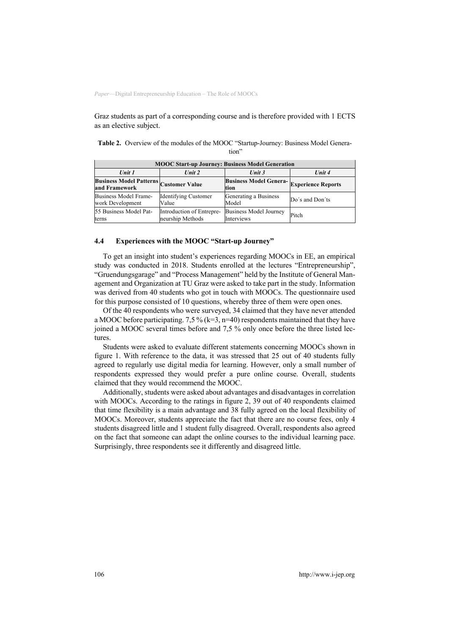Graz students as part of a corresponding course and is therefore provided with 1 ECTS as an elective subject.

**Table 2.** Overview of the modules of the MOOC "Startup-Journey: Business Model Generation"

| <b>MOOC Start-up Journey: Business Model Generation</b>        |                                               |                                                    |                 |  |
|----------------------------------------------------------------|-----------------------------------------------|----------------------------------------------------|-----------------|--|
| Unit 1                                                         | Unit $2$                                      | Unit $3$                                           | Unit 4          |  |
| <b>Business Model Patterns Customer Value</b><br>and Framework |                                               | Business Model Genera- Experience Reports<br>tion  |                 |  |
| Business Model Frame-<br>work Development                      | <b>Identifying Customer</b><br>Value          | Generating a Business<br>Model                     | Do's and Don'ts |  |
| 55 Business Model Pat-<br>terns                                | Introduction of Entrepre-<br>neurship Methods | <b>Business Model Journey</b><br><b>Interviews</b> | Pitch           |  |

#### **4.4 Experiences with the MOOC "Start-up Journey"**

neurship Methods

To get an insight into student's experiences regarding MOOCs in EE, an empirical study was conducted in 2018. Students enrolled at the lectures "Entrepreneurship", "Gruendungsgarage" and "Process Management" held by the Institute of General Management and Organization at TU Graz were asked to take part in the study. Information was derived from 40 students who got in touch with MOOCs. The questionnaire used for this purpose consisted of 10 questions, whereby three of them were open ones.

Of the 40 respondents who were surveyed, 34 claimed that they have never attended a MOOC before participating. 7,5 % ( $k=3$ ,  $n=40$ ) respondents maintained that they have joined a MOOC several times before and 7,5 % only once before the three listed lectures.

Students were asked to evaluate different statements concerning MOOCs shown in figure 1. With reference to the data, it was stressed that 25 out of 40 students fully agreed to regularly use digital media for learning. However, only a small number of respondents expressed they would prefer a pure online course. Overall, students claimed that they would recommend the MOOC.

Additionally, students were asked about advantages and disadvantages in correlation with MOOCs. According to the ratings in figure 2, 39 out of 40 respondents claimed that time flexibility is a main advantage and 38 fully agreed on the local flexibility of MOOCs. Moreover, students appreciate the fact that there are no course fees, only 4 students disagreed little and 1 student fully disagreed. Overall, respondents also agreed on the fact that someone can adapt the online courses to the individual learning pace. Surprisingly, three respondents see it differently and disagreed little.

terns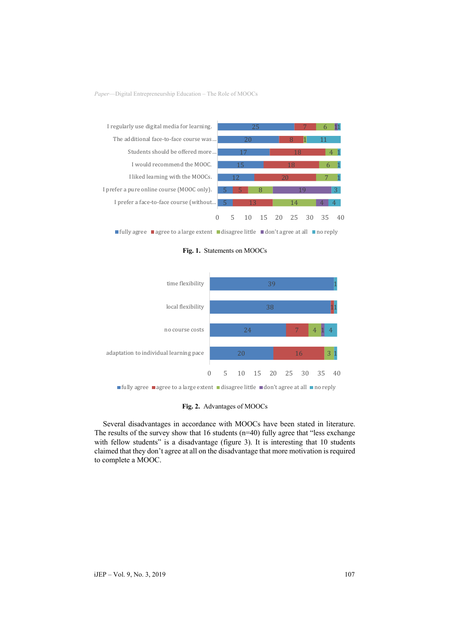

■ fully agree ■ agree to a large extent ■ disagree little ■ don't agree at all ■ no reply

**Fig. 1.** Statements on MOOCs



**Fig. 2.** Advantages of MOOCs

Several disadvantages in accordance with MOOCs have been stated in literature. The results of the survey show that 16 students ( $n=40$ ) fully agree that "less exchange with fellow students" is a disadvantage (figure 3). It is interesting that 10 students claimed that they don't agree at all on the disadvantage that more motivation is required to complete a MOOC.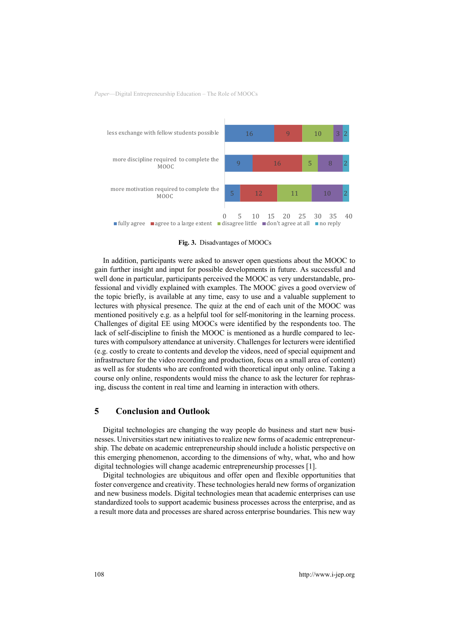

**Fig. 3.** Disadvantages of MOOCs

In addition, participants were asked to answer open questions about the MOOC to gain further insight and input for possible developments in future. As successful and well done in particular, participants perceived the MOOC as very understandable, professional and vividly explained with examples. The MOOC gives a good overview of the topic briefly, is available at any time, easy to use and a valuable supplement to lectures with physical presence. The quiz at the end of each unit of the MOOC was mentioned positively e.g. as a helpful tool for self-monitoring in the learning process. Challenges of digital EE using MOOCs were identified by the respondents too. The lack of self-discipline to finish the MOOC is mentioned as a hurdle compared to lectures with compulsory attendance at university. Challenges for lecturers were identified (e.g. costly to create to contents and develop the videos, need of special equipment and infrastructure for the video recording and production, focus on a small area of content) as well as for students who are confronted with theoretical input only online. Taking a course only online, respondents would miss the chance to ask the lecturer for rephrasing, discuss the content in real time and learning in interaction with others.

### **5 Conclusion and Outlook**

Digital technologies are changing the way people do business and start new businesses. Universities start new initiatives to realize new forms of academic entrepreneurship. The debate on academic entrepreneurship should include a holistic perspective on this emerging phenomenon, according to the dimensions of why, what, who and how digital technologies will change academic entrepreneurship processes [1].

Digital technologies are ubiquitous and offer open and flexible opportunities that foster convergence and creativity. These technologies herald new forms of organization and new business models. Digital technologies mean that academic enterprises can use standardized tools to support academic business processes across the enterprise, and as a result more data and processes are shared across enterprise boundaries. This new way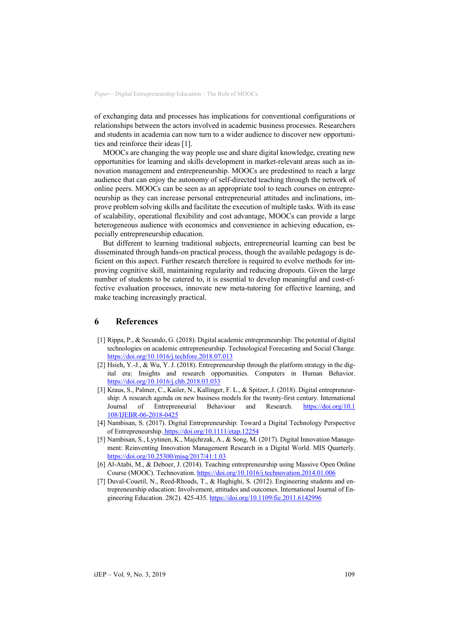of exchanging data and processes has implications for conventional configurations or relationships between the actors involved in academic business processes. Researchers and students in academia can now turn to a wider audience to discover new opportunities and reinforce their ideas [1].

MOOCs are changing the way people use and share digital knowledge, creating new opportunities for learning and skills development in market-relevant areas such as innovation management and entrepreneurship. MOOCs are predestined to reach a large audience that can enjoy the autonomy of self-directed teaching through the network of online peers. MOOCs can be seen as an appropriate tool to teach courses on entrepreneurship as they can increase personal entrepreneurial attitudes and inclinations, improve problem solving skills and facilitate the execution of multiple tasks. With its ease of scalability, operational flexibility and cost advantage, MOOCs can provide a large heterogeneous audience with economics and convenience in achieving education, especially entrepreneurship education.

But different to learning traditional subjects, entrepreneurial learning can best be disseminated through hands-on practical process, though the available pedagogy is deficient on this aspect. Further research therefore is required to evolve methods for improving cognitive skill, maintaining regularity and reducing dropouts. Given the large number of students to be catered to, it is essential to develop meaningful and cost-effective evaluation processes, innovate new meta-tutoring for effective learning, and make teaching increasingly practical.

### **6 References**

- [1] Rippa, P., & Secundo, G. (2018). Digital academic entrepreneurship: The potential of digital technologies on academic entrepreneurship. Technological Forecasting and Social Change. https://doi.org/10.1016/j.techfore.2018.07.013
- [2] [Hsieh, Y.-J., & Wu, Y. J. \(2018\). Entrepreneu](https://doi.org/10.1016/j.techfore.2018.07.013)rship through the platform strategy in the digital era: Insights and research opportunities. Computers in Human Behavior. https://doi.org/10.1016/j.chb.2018.03.033
- [3] [Kraus, S., Palmer, C., Kailer, N., Kalli](https://doi.org/10.1016/j.chb.2018.03.033)nger, F. L., & Spitzer, J. (2018). Digital entrepreneurship: A research agenda on new business models for the twenty-first century. International Journal of Entrepreneurial Behaviour and Research. https://doi.org/10.1 108/IJEBR-06-2018-0425
- [4] [Nambisan, S. \(2017\). Digital Entrepreneurs](https://doi.org/10.1108/IJEBR-06-2018-0425)hip: Toward a Digital Technology Perspective of Entrepreneurship. https://doi.org/10.1111/etap.12254
- [5] [Nambisan, S., Lyytinen, K., Majch](https://doi.org/10.1111/etap.12254)rzak, A., & Song, M. (2017). Digital Innovation Management: Reinventing Innovation Management Research in a Digital World. MIS Quarterly. https://doi.org/10.25300/misq/2017/41:1.03
- [6] [Al-Atabi, M., & Deboer, J. \(2014\). Teachi](https://doi.org/10.25300/misq/2017/41:1.03)ng entrepreneurship using Massive Open Online Course (MOOC). Technovation. https://doi.org/10.1016/j.technovation.2014.01.006
- [7] [Duval-Couetil, N., Reed-Rhoads, T., & Haghighi, S](https://doi.org/10.1016/j.technovation.2014.01.006). (2012). Engineering students and entrepreneurship education: Involvement, attitudes and outcomes. International Journal of Engineering Education. 28(2). 425-435. https://doi.org/10.1109/fie.2011.6142996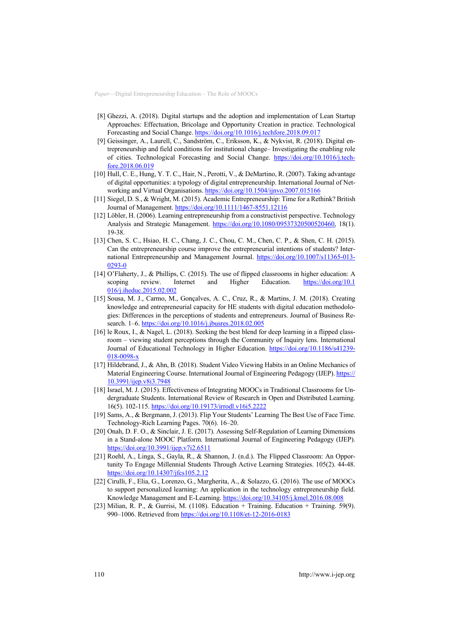- [8] [Ghezzi, A. \(2018\). Digital startups and](https://doi.org/10.1109/fie.2011.6142996) the adoption and implementation of Lean Startup Approaches: Effectuation, Bricolage and Opportunity Creation in practice. Technological Forecasting and Social Change. https://doi.org/10.1016/j.techfore.2018.09.017
- [9] [Geissinger, A., Laurell, C., Sandström, C., E](https://doi.org/10.1016/j.techfore.2018.09.017)riksson, K., & Nykvist, R. (2018). Digital entrepreneurship and field conditions for institutional change– Investigating the enabling role of cities. Technological Forecasting and Social Change. https://doi.org/10.1016/j.techfore.2018.06.019
- [10] [Hull, C. E., Hung, Y. T. C., Hair, N., Perott](https://doi.org/10.1016/j.techfore.2018.06.019)i, V., & DeMartino, R. (2007). Taking advantage of digital opportunities: a typology of digital entrepreneurship. International Journal of Networking and Virtual Organisations. https://doi.org/10.1504/ijnvo.2007.015166
- [11] [Siegel, D. S., & Wright, M. \(2015\). Acad](https://doi.org/10.1504/ijnvo.2007.015166)emic Entrepreneurship: Time for a Rethink? British Journal of Management. https://doi.org/10.1111/1467-8551.12116
- [12] [Löbler, H. \(2006\). Learning entreprene](https://doi.org/10.1111/1467-8551.12116)urship from a constructivist perspective. Technology Analysis and Strategic Management. https://doi.org/10.1080/0953732050052046[0, 18\(1\).](https://doi.org/10.1080/09537320500520460) [19-38.](https://doi.org/10.1080/09537320500520460)
- [13] [Chen, S. C., Hsiao, H. C](https://doi.org/10.1080/09537320500520460)., Chang, J. C., Chou, C. M., Chen, C. P., & Shen, C. H. (2015). Can the entrepreneurship course improve the entrepreneurial intentions of students? International Entrepreneurship and Management Journal. https://doi.org/10.1007/s11365-013- 0293-0
- [14] [O'Flaherty, J., & Phillips, C. \(2015\). T](https://doi.org/10.1007/s11365-013-0293-0)he use of flipped classrooms in higher education: A scoping review. Internet and Higher Education. https://doi.org/10.1 016/j.iheduc.2015.02.002
- [15] [Sousa, M. J., Carmo, M., Gonçalves, A. C., C](https://doi.org/10.1016/j.iheduc.2015.02.002)ruz, R., & Martins, J. M. (2018). Creating knowledge and entrepreneurial capacity for HE students with digital education methodologies: Differences in the perceptions of students and entrepreneurs. Journal of Business Research. 1–6. https://doi.org/10.1016/j.jbusres.2018.02.005
- [16] [le Roux, I., & Nagel, L. \(2018\). Seeking the](https://doi.org/10.1016/j.jbusres.2018.02.005) best blend for deep learning in a flipped classroom – viewing student perceptions through the Community of Inquiry lens. International Journal of Educational Technology in Higher Education. https://doi.org/10.1186/s41239- 018-0098-x
- [17] [Hildebrand, J., & Ahn, B. \(2018\). Studen](https://doi.org/10.1186/s41239-018-0098-x)t Video Viewing Habits in an Online Mechanics of Material Engineering Course. International Journal of Engineering Pedagogy (IJEP). https:// 10.3991/ijep.v8i3.7948
- [18] Israel, M. J. (2015). Effectiveness of Integrating MOOCs in Traditional Classrooms for Undergraduate Students. International Review of Research in Open and Distributed Learning. 16(5). 102-115. https://doi.org/10.19173/irrodl.v16i5.2222
- [19] [Sams, A., & Bergmann,](https://doi.org/10.19173/irrodl.v16i5.2222) J. (2013). Flip Your Students' Learning The Best Use of Face Time. Technology-Rich Learning Pages. 70(6). 16–20.
- [20] Onah, D. F. O., & Sinclair, J. E. (2017). Assessing Self-Regulation of Learning Dimensions in a Stand-alone MOOC Platform. International Journal of Engineering Pedagogy (IJEP). https://doi.org/10.3991/ijep.v7i2.6511
- [21] [Roehl, A., Linga, S., Gayla, R., & Sh](https://doi.org/10.3991/ijep.v7i2.6511)annon, J. (n.d.). The Flipped Classroom: An Opportunity To Engage Millennial Students Through Active Learning Strategies. 105(2). 44-48. https://doi.org/10.14307/jfcs105.2.12
- [22] [Cirulli, F., Elia, G., Lorenzo, G.,](https://doi.org/10.14307/jfcs105.2.12) Margherita, A., & Solazzo, G. (2016). The use of MOOCs to support personalized learning: An application in the technology entrepreneurship field. Knowledge Management and E-Learning. https://doi.org/10.34105/j.kmel.2016.08.008
- [23] Milian, R. P., [& Gurrisi, M. \(1108\). Educa](https://doi.org/10.34105/j.kmel.2016.08.008)tion + Training. Education + Training. 59(9). 990–1006. Retrieved from https://doi.org/10.1108/et-12-2016-0183